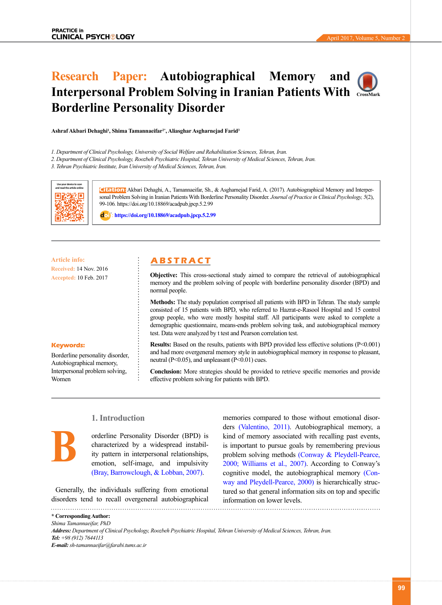# **Research Paper: Autobiographical Memory and Interpersonal Problem Solving in Iranian Patients With [CrossMark](https://crossmark.crossref.org/dialog/?doi=10.18869/acadpub.jpcp.5.2.99) Borderline Personality Disorder**

**Ashraf Akbari Dehaghi1 , Shima Tamannaeifar2\*, Aliasghar Asgharnejad Farid3**

*1. Department of Clinical Psychology, University of Social Welfare and Rehabilitation Sciences, Tehran, Iran.*

*2. Department of Clinical Psychology, Roozbeh Psychiatric Hospital, Tehran University of Medical Sciences, Tehran, Iran.*

*3. Tehran Psychiatric Institute, Iran University of Medical Sciences, Tehran, Iran.*



**Citation:** Akbari Dehaghi, A., Tamannaeifar, Sh., & Asgharnejad Farid, A. (2017). Autobiographical Memory and Interpersonal Problem Solving in Iranian Patients With Borderline Personality Disorder. *Journal of Practice in Clinical Psychology, 5*(2), 99-106*.* https://doi.org/10.18869/acadpub.jpcp.5.2.99

: **<https://doi.org/10.18869/acadpub.jpcp.5.2.99>**

## **Article info: A B S T R A C T**

**Keywords:**

Women

**B**

Borderline personality disorder, Autobiographical memory, Interpersonal problem solving,

**Received:** 14 Nov. 2016 **Accepted:** 10 Feb. 2017

#### **Objective:** This cross-sectional study aimed to compare the retrieval of autobiographical memory and the problem solving of people with borderline personality disorder (BPD) and

## normal people. **Methods:** The study population comprised all patients with BPD in Tehran. The study sample consisted of 15 patients with BPD, who referred to Hazrat-e-Rasool Hospital and 15 control group people, who were mostly hospital staff. All participants were asked to complete a demographic questionnaire, means-ends problem solving task, and autobiographical memory test. Data were analyzed by t test and Pearson correlation test.

#### **Results:** Based on the results, patients with BPD provided less effective solutions (P<0.001) and had more overgeneral memory style in autobiographical memory in response to pleasant, neutral (P<0.05), and unpleasant (P<0.01) cues.

**Conclusion:** More strategies should be provided to retrieve specific memories and provide effective problem solving for patients with BPD.

# **1. Introduction**

orderline Personality Disorder (BPD) is characterized by a widespread instability pattern in interpersonal relationships, emotion, self-image, and impulsivity [\(Bray, Barrowclough, & Lobban, 2007\)](#page-5-0).

Generally, the individuals suffering from emotional disorders tend to recall overgeneral autobiographical  memories compared to those without emotional disorders [\(Valentino, 2011\).](#page-6-0) Autobiographical memory, a kind of memory associated with recalling past events, is important to pursue goals by remembering previous problem solving methods [\(Conway & Pleydell-Pearce,](#page-5-1) [2000;](#page-5-1) [Williams et al., 2007\).](#page-6-1) According to Conway's cognitive model, the autobiographical memory [\(Con](#page-5-1)[way and Pleydell-Pearce, 2000\)](#page-5-1) is hierarchically structured so that general information sits on top and specific information on lower levels.

**\* Corresponding Author:** *Shima Tamannaeifar, PhD*

*Address: Department of Clinical Psychology, Roozbeh Psychiatric Hospital, Tehran University of Medical Sciences, Tehran, Iran. Tel: +98 (912) 7644113 E-mail: sh-tamannaeifar@farabi.tums.ac.ir*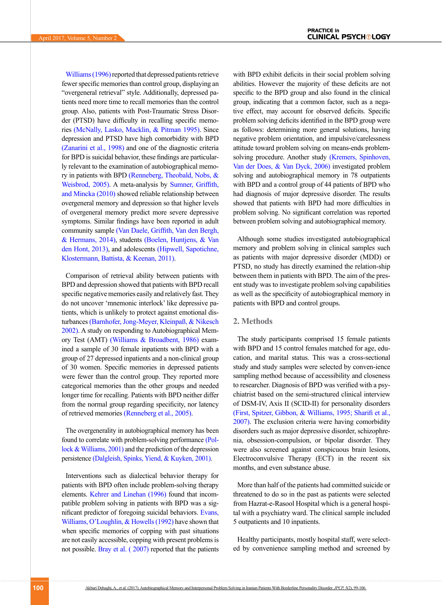[Williams \(1996\)](#page-6-2) reported that depressed patients retrieve fewer specific memories than control group, displaying an "overgeneral retrieval" style. Additionally, depressed patients need more time to recall memories than the control group. Also, patients with Post-Traumatic Stress Disorder (PTSD) have difficulty in recalling specific memories [\(McNally, Lasko, Macklin, & Pitman 1995\)](#page-6-3). Since depression and PTSD have high comorbidity with BPD [\(Zanarini et al., 1998\)](#page-6-4) and one of the diagnostic criteria for BPD is suicidal behavior, these findings are particularly relevant to the examination of autobiographical memory in patients with BPD (Renneberg, Theobald, Nobs, & Weisbrod, 2005). A meta-analysis by [Sumner, Griffith,](#page-6-5)  [and Mincka \(2010\)](#page-6-5) showed reliable relationship between overgeneral memory and depression so that higher levels of overgeneral memory predict more severe depressive symptoms. Similar findings have been reported in adult community sample [\(Van Daele, Griffith, Van den Bergh,](#page-6-6)  [& Hermans, 2014\)](#page-6-6), students [\(Boelen, Huntjens, & Van](#page-5-2)  [den Hont, 2013\)](#page-5-2), and adolescents [\(Hipwell, Sapotichne,](#page-6-7)  [Klostermann, Battista, & Keenan, 2011\)](#page-6-7).

Comparison of retrieval ability between patients with BPD and depression showed that patients with BPD recall specific negative memories easily and relatively fast. They do not uncover 'mnemonic interlock' like depressive patients, which is unlikely to protect against emotional disturbances (Barnhofer, Jong-Meyer, Kleinpaß, & Nikesch 2002). A study on responding to Autobiographical Memory Test (AMT) [\(Williams & Broadbent, 1986\)](#page-6-8) examined a sample of 30 female inpatients with BPD with a group of 27 depressed inpatients and a non-clinical group of 30 women. Specific memories in depressed patients were fewer than the control group. They reported more categorical memories than the other groups and needed longer time for recalling. Patients with BPD neither differ from the normal group regarding specificity, nor latency of retrieved memories (Renneberg et al., 2005).

The overgenerality in autobiographical memory has been found to correlate with problem-solving performance (Pollock & Williams, 2001) and the prediction of the depression persistence [\(Dalgleish, Spinks, Yiend, & Kuyken, 2001\).](#page-6-9)

Interventions such as dialectical behavior therapy for patients with BPD often include problem-solving therapy elements. [Kehrer and Linehan \(1996\)](#page-6-10) found that incompatible problem solving in patients with BPD was a significant predictor of foregoing suicidal behaviors. Evans, Williams, O'Loughlin, & Howells (1992) have shown that when specific memories of copping with past situations are not easily accessible, copping with present problems is not possible. Bray et al. (2007) reported that the patients with BPD exhibit deficits in their social problem solving abilities. However the majority of these deficits are not specific to the BPD group and also found in the clinical group, indicating that a common factor, such as a negative effect, may account for observed deficits. Specific problem solving deficits identified in the BPD group were as follows: determining more general solutions, having negative problem orientation, and impulsive/carelessness attitude toward problem solving on means-ends problemsolving procedure. Another study [\(Kremers, Spinhoven,](#page-6-11)  [Van der Does, & Van Dyck, 2006\)](#page-6-11) investigated problem solving and autobiographical memory in 78 outpatients with BPD and a control group of 44 patients of BPD who had diagnosis of major depressive disorder. The results showed that patients with BPD had more difficulties in problem solving. No significant correlation was reported between problem solving and autobiographical memory.

Although some studies investigated autobiographical memory and problem solving in clinical samples such as patients with major depressive disorder (MDD) or PTSD, no study has directly examined the relation-ship between them in patients with BPD. The aim of the present study was to investigate problem solving capabilities as well as the specificity of autobiographical memory in patients with BPD and control groups.

#### **2. Methods**

The study participants comprised 15 female patients with BPD and 15 control females matched for age, education, and marital status. This was a cross-sectional study and study samples were selected by conven-ience sampling method because of accessibility and closeness to researcher. Diagnosis of BPD was verified with a psychiatrist based on the semi-structured clinical interview of DSM-IV, Axis II (SCID-II) for personality disorders [\(First, Spitzer, Gibbon, & Williams, 1995;](#page-6-12) [Sharifi et al.,](#page-6-13)  [2007\)](#page-6-13). The exclusion criteria were having comorbidity disorders such as major depressive disorder, schizophrenia, obsession-compulsion, or bipolar disorder. They were also screened against conspicuous brain lesions, Electroconvulsive Therapy (ECT) in the recent six months, and even substance abuse.

More than half of the patients had committed suicide or threatened to do so in the past as patients were selected from Hazrat-e-Rasool Hospital which is a general hospital with a psychiatry ward. The clinical sample included 5 outpatients and 10 inpatients.

Healthy participants, mostly hospital staff, were selected by convenience sampling method and screened by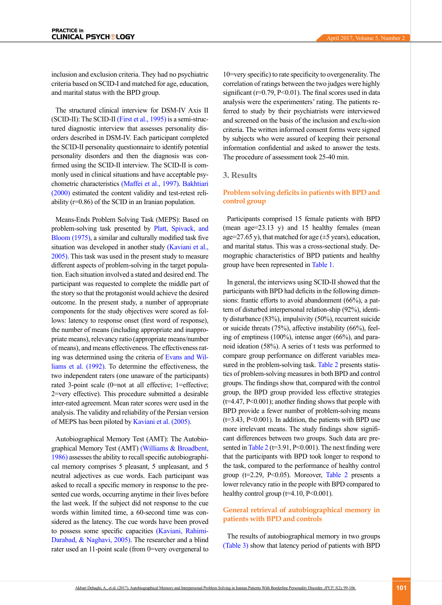inclusion and exclusion criteria. They had no psychiatric criteria based on SCID-I and matched for age, education, and marital status with the BPD group.

The structured clinical interview for DSM-IV Axis II (SCID-II): The SCID-II [\(First et al., 1995\)](#page-6-12) is a semi-structured diagnostic interview that assesses personality disorders described in DSM-IV. Each participant completed the SCID-II personality questionnaire to identify potential personality disorders and then the diagnosis was confirmed using the SCID-II interview. The SCID-II is commonly used in clinical situations and have acceptable psychometric characteristics [\(Maffei et al., 1997\).](#page-6-14) [Bakhtiari](#page-5-3)  [\(2000\)](#page-5-3) estimated the content validity and test-retest reliability (r=0.86) of the SCID in an Iranian population.

Means-Ends Problem Solving Task (MEPS): Based on problem-solving task presented by Platt, Spivack, and [Bloom \(1975\)](#page-6-15), a similar and culturally modified task five situation was developed in another study (Kaviani et al., [2005\).](#page-6-16) This task was used in the present study to measure different aspects of problem-solving in the target population. Each situation involved a stated and desired end. The participant was requested to complete the middle part of the story so that the protagonist would achieve the desired outcome. In the present study, a number of appropriate components for the study objectives were scored as follows: latency to response onset (first word of response), the number of means (including appropriate and inappropriate means), relevancy ratio (appropriate means/number of means), and means effectiveness. The effectiveness rating was determined using the criteria of Evans and Williams et al. (1992). To determine the effectiveness, the two independent raters (one unaware of the participants) rated 3-point scale (0=not at all effective; 1=effective; 2=very effective). This procedure submitted a desirable inter-rated agreement. Mean rater scores were used in the analysis. The validity and reliability of the Persian version of MEPS has been piloted by [Kaviani et al. \(2005\).](#page-6-16)

Autobiographical Memory Test (AMT): The Autobiographical Memory Test (AMT) [\(Williams & Broadbent,](#page-6-8)  [1986\)](#page-6-8) assesses the ability to recall specific autobiographical memory comprises 5 pleasant, 5 unpleasant, and 5 neutral adjectives as cue words. Each participant was asked to recall a specific memory in response to the presented cue words, occurring anytime in their lives before the last week. If the subject did not response to the cue words within limited time, a 60-second time was considered as the latency. The cue words have been proved to possess some specific capacities [\(Kaviani, Rahimi-](#page-6-16)[Darabad, & Naghavi, 2005\).](#page-6-16) The researcher and a blind rater used an 11-point scale (from 0=very overgeneral to

10=very specific) to rate specificity to overgenerality. The correlation of ratings between the two judges were highly significant ( $r=0.79$ ,  $P<0.01$ ). The final scores used in data analysis were the experimenters' rating. The patients referred to study by their psychiatrists were interviewed and screened on the basis of the inclusion and exclu-sion criteria. The written informed consent forms were signed by subjects who were assured of keeping their personal information confidential and asked to answer the tests. The procedure of assessment took 25-40 min.

## **3. Results**

## **Problem solving deficits in patients with BPD and control group**

Participants comprised 15 female patients with BPD (mean age= $23.13$  y) and 15 healthy females (mean age=27.65 y), that matched for age  $(\pm 5$  years), education, and marital status. This was a cross-sectional study. Demographic characteristics of BPD patients and healthy group have been represented in [Table 1.](#page-3-0)

In general, the interviews using SCID-II showed that the participants with BPD had deficits in the following dimensions: frantic efforts to avoid abandonment (66%), a pattern of disturbed interpersonal relation-ship (92%), identity disturbance (83%), impulsivity (50%), recurrent suicide or suicide threats (75%), affective instability (66%), feeling of emptiness (100%), intense anger (66%), and paranoid ideation (58%). A series of t tests was performed to compare group performance on different variables mea-sured in the problem-solving task. [Table 2](#page-3-1) presents statistics of problem-solving measures in both BPD and control groups. The findings show that, compared with the control group, the BPD group provided less effective strategies (t=4.47, P<0.001); another finding shows that people with BPD provide a fewer number of problem-solving means  $(t=3.43, P<0.001)$ . In addition, the patients with BPD use more irrelevant means. The study findings show significant differences between two groups. Such data are pre-sented in [Table 2](#page-3-1) ( $t=3.91$ ,  $P<0.001$ ). The next finding were that the participants with BPD took longer to respond to the task, compared to the performance of healthy control group ( $t=2.29$ , P<0.05). Moreover, [Table 2](#page-3-1) presents a lower relevancy ratio in the people with BPD compared to healthy control group  $(t=4.10, P<0.001)$ .

## **General retrieval of autobiographical memory in patients with BPD and controls**

The results of autobiographical memory in two groups [\(Table 3\)](#page-4-0) show that latency period of patients with BPD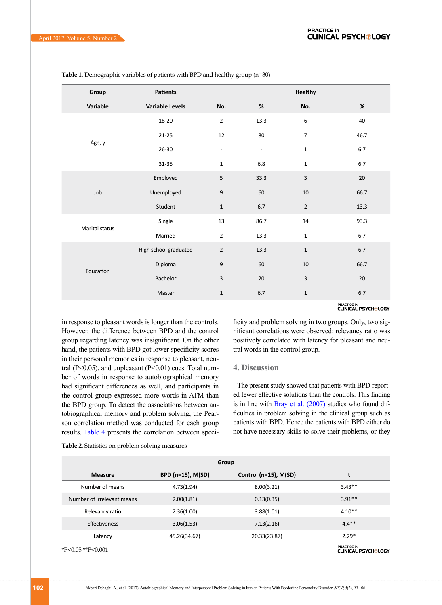| Group          | Patients               |                          |                          | <b>Healthy</b>   |      |
|----------------|------------------------|--------------------------|--------------------------|------------------|------|
| Variable       | <b>Variable Levels</b> | No.                      | $\%$                     | No.              | $\%$ |
| Age, y         | 18-20                  | $\mathbf 2$              | 13.3                     | $\boldsymbol{6}$ | 40   |
|                | $21 - 25$              | 12                       | 80                       | $\overline{7}$   | 46.7 |
|                | 26-30                  | $\overline{\phantom{a}}$ | $\overline{\phantom{a}}$ | $\mathbf 1$      | 6.7  |
|                | $31 - 35$              | $\mathbf{1}$             | $6.8\,$                  | $\mathbf{1}$     | 6.7  |
| Job            | Employed               | 5                        | 33.3                     | $\overline{3}$   | 20   |
|                | Unemployed             | $\boldsymbol{9}$         | 60                       | $10\,$           | 66.7 |
|                | Student                | $\mathbf 1$              | 6.7                      | $\overline{2}$   | 13.3 |
|                | Single                 | 13                       | 86.7                     | 14               | 93.3 |
| Marital status | Married                | $\overline{2}$           | 13.3                     | $\mathbf 1$      | 6.7  |
| Education      | High school graduated  | $\sqrt{2}$               | 13.3                     | $\mathbf 1$      | 6.7  |
|                | Diploma                | $\boldsymbol{9}$         | 60                       | $10\,$           | 66.7 |
|                | Bachelor               | $\mathsf 3$              | 20                       | $\overline{3}$   | 20   |
|                | Master                 | $\mathbf 1$              | 6.7                      | $\mathbf 1$      | 6.7  |

<span id="page-3-0"></span>**Table 1.** Demographic variables of patients with BPD and healthy group (n=30)

## **PRACTICE in**<br>CLINICAL PSYCH®LOGY

in response to pleasant words is longer than the controls. However, the difference between BPD and the control group regarding latency was insignificant. On the other hand, the patients with BPD got lower specificity scores in their personal memories in response to pleasant, neutral ( $P<0.05$ ), and unpleasant ( $P<0.01$ ) cues. Total number of words in response to autobiographical memory had significant differences as well, and participants in the control group expressed more words in ATM than the BPD group. To detect the associations between autobiographical memory and problem solving, the Pearson correlation method was conducted for each group results. [Table 4](#page-4-1) presents the correlation between specificity and problem solving in two groups. Only, two significant correlations were observed: relevancy ratio was positively correlated with latency for pleasant and neutral words in the control group.

## **4. Discussion**

The present study showed that patients with BPD reported fewer effective solutions than the controls. This finding is in line with [Bray et al. \(2007\)](#page-5-0) studies who found difficulties in problem solving in the clinical group such as patients with BPD. Hence the patients with BPD either do not have necessary skills to solve their problems, or they

<span id="page-3-1"></span>**Table 2.** Statistics on problem-solving measures

| Group                      |                   |                       |                                                  |  |
|----------------------------|-------------------|-----------------------|--------------------------------------------------|--|
| <b>Measure</b>             | BPD (n=15), M(SD) | Control (n=15), M(SD) |                                                  |  |
| Number of means            | 4.73(1.94)        | 8.00(3.21)            | $3.43**$                                         |  |
| Number of irrelevant means | 2.00(1.81)        | 0.13(0.35)            | $3.91**$                                         |  |
| Relevancy ratio            | 2.36(1.00)        | 3.88(1.01)            | $4.10**$                                         |  |
| <b>Effectiveness</b>       | 3.06(1.53)        | 7.13(2.16)            | $4.4***$                                         |  |
| Latency                    | 45.26(34.67)      | 20.33(23.87)          | $2.29*$                                          |  |
| $*P<0.05**P<0.001$         |                   |                       | <b>PRACTICE in</b><br><b>CLINICAL PSYCHOLOGY</b> |  |

\*P<0.05 \*\*P<0.001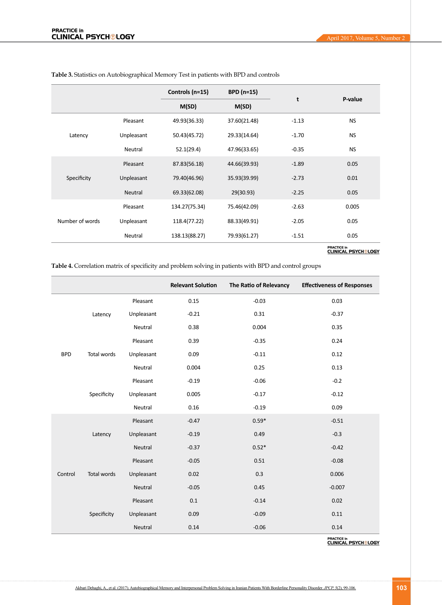|                 |            | Controls (n=15) | <b>BPD (n=15)</b> |         |           |
|-----------------|------------|-----------------|-------------------|---------|-----------|
|                 |            | M(SD)           | M(SD)             | t       | P-value   |
| Latency         | Pleasant   | 49.93(36.33)    | 37.60(21.48)      | $-1.13$ | <b>NS</b> |
|                 | Unpleasant | 50.43(45.72)    | 29.33(14.64)      | $-1.70$ | <b>NS</b> |
|                 | Neutral    | 52.1(29.4)      | 47.96(33.65)      | $-0.35$ | <b>NS</b> |
| Specificity     | Pleasant   | 87.83(56.18)    | 44.66(39.93)      | $-1.89$ | 0.05      |
|                 | Unpleasant | 79.40(46.96)    | 35.93(39.99)      | $-2.73$ | 0.01      |
|                 | Neutral    | 69.33(62.08)    | 29(30.93)         | $-2.25$ | 0.05      |
| Number of words | Pleasant   | 134.27(75.34)   | 75.46(42.09)      | $-2.63$ | 0.005     |
|                 | Unpleasant | 118.4(77.22)    | 88.33(49.91)      | $-2.05$ | 0.05      |
|                 | Neutral    | 138.13(88.27)   | 79.93(61.27)      | $-1.51$ | 0.05      |

<span id="page-4-0"></span>**Table 3.** Statistics on Autobiographical Memory Test in patients with BPD and controls

PRACTICE in<br><u>CLINICAL PSYCH®LOGY</u>

<span id="page-4-1"></span>**Table 4.** Correlation matrix of specificity and problem solving in patients with BPD and control groups

|            |                    |            | <b>Relevant Solution</b> | The Ratio of Relevancy | <b>Effectiveness of Responses</b> |
|------------|--------------------|------------|--------------------------|------------------------|-----------------------------------|
|            | Latency            | Pleasant   | 0.15                     | $-0.03$                | 0.03                              |
|            |                    | Unpleasant | $-0.21$                  | 0.31                   | $-0.37$                           |
|            |                    | Neutral    | 0.38                     | 0.004                  | 0.35                              |
| <b>BPD</b> |                    | Pleasant   | 0.39                     | $-0.35$                | 0.24                              |
|            | Total words        | Unpleasant | 0.09                     | $-0.11$                | 0.12                              |
|            |                    | Neutral    | 0.004                    | 0.25                   | 0.13                              |
|            | Specificity        | Pleasant   | $-0.19$                  | $-0.06$                | $-0.2$                            |
|            |                    | Unpleasant | 0.005                    | $-0.17$                | $-0.12$                           |
|            |                    | Neutral    | 0.16                     | $-0.19$                | 0.09                              |
| Control    | Latency            | Pleasant   | $-0.47$                  | $0.59*$                | $-0.51$                           |
|            |                    | Unpleasant | $-0.19$                  | 0.49                   | $-0.3$                            |
|            |                    | Neutral    | $-0.37$                  | $0.52*$                | $-0.42$                           |
|            |                    | Pleasant   | $-0.05$                  | 0.51                   | $-0.08$                           |
|            | <b>Total words</b> | Unpleasant | 0.02                     | 0.3                    | 0.006                             |
|            |                    | Neutral    | $-0.05$                  | 0.45                   | $-0.007$                          |
|            | Specificity        | Pleasant   | 0.1                      | $-0.14$                | 0.02                              |
|            |                    | Unpleasant | 0.09                     | $-0.09$                | 0.11                              |
|            |                    | Neutral    | 0.14                     | $-0.06$                | 0.14                              |

**PRACTICE in**<br>CLINICAL PSYCH®LOGY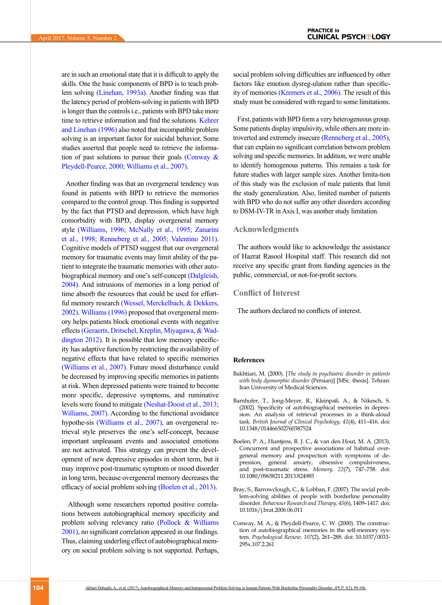are in such an emotional state that it is difficult to apply the skills. One the basic components of BPD is to teach problem solving [\(Linehan, 1993a\)](#page-6-17). Another finding was that the latency period of problem-solving in patients with BPD is longer than the controls i.e., patients with BPD take more time to retrieve information and find the solutions. Kehrer [and Linehan \(1996\)](#page-6-10) also noted that incompatible problem solving is an important factor for suicidal behavior. Some studies asserted that people need to retrieve the information of past solutions to pursue their goals (Conway  $\&$ [Pleydell-Pearce, 2000;](#page-5-1) [Williams et al., 2007\).](#page-6-1)

Another finding was that an overgeneral tendency was found in patients with BPD to retrieve the memories compared to the control group. This finding is supported by the fact that PTSD and depression, which have high comorbidity with BPD, display overgeneral memory style [\(Williams, 1996;](#page-6-2) [McNally et al., 1995;](#page-6-3) [Zanarini](#page-6-4)  [et al., 1998;](#page-6-4) Renneberg et al., 2005; [Valentino 2011\)](#page-6-0). Cognitive models of PTSD suggest that our overgeneral memory for traumatic events may limit ability of the patient to integrate the traumatic memories with other autobiographical memory and one's self-concept [\(Dalgleish,](#page-6-18)  [2004\).](#page-6-18) And intrusions of memories in a long period of time absorb the resources that could be used for effortful memory research [\(Wessel, Merckelbach, & Dekkers,](#page-6-19)  [2002\).](#page-6-19) [Williams \(1996\)](#page-6-2) proposed that overgeneral memory helps patients block emotional events with negative effects [\(Geraerts, Dritschel, Kreplin, Miyagawa, & Wad](#page-6-20)[dington 2012\)](#page-6-20). It is possible that low memory specificity has adaptive function by restricting the availability of negative effects that have related to specific memories [\(Williams et al., 2007\).](#page-6-1) Future mood disturbance could be decreased by improving specific memories in patients at risk. When depressed patients were trained to become more specific, depressive symptoms, and ruminative levels were found to mitigate (Neshat-Doost et al., 2013; [Williams, 2007\).](#page-6-1) According to the functional avoidance hypothe-sis [\(Williams et al., 2007\)](#page-6-1), an overgeneral retrieval style preserves the one's self-concept, because important unpleasant events and associated emotions are not activated. This strategy can prevent the development of new depressive episodes in short term, but it may improve post-traumatic symptom or mood disorder in long term, because overgeneral memory decreases the efficacy of social problem solving [\(Boelen et al., 2013\)](#page-5-2).

 Although some researchers reported positive correlations between autobiographical memory specificity and problem solving relevancy ratio (Pollock & Williams 2001), no significant correlation appeared in our findings. Thus, claiming underling effect of autobiographical memory on social problem solving is not supported. Perhaps,

social problem solving difficulties are influenced by other factors like emotion dysreg-ulation rather than specificity of memories [\(Kremers et al., 2006\)](#page-6-11). The result of this study must be considered with regard to some limitations.

First, patients with BPD form a very heterogeneous group. Some patients display impulsivity, while others are more introverted and extremely insecure (Renneberg et al., 2005), that can explain no significant correlation between problem solving and specific memories. In addition, we were unable to identify homogenous patterns. This remains a task for future studies with larger sample sizes. Another limita-tion of this study was the exclusion of male patients that limit the study generalization. Also, limited number of patients with BPD who do not suffer any other disorders according to DSM-IV-TR in Axis I, was another study limitation.

#### **Acknowledgments**

The authors would like to acknowledge the assistance of Hazrat Rasool Hospital staff. This research did not receive any specific grant from funding agencies in the public, commercial, or not-for-profit sectors.

#### **Conflict of Interest**

The authors declared no conflicts of interest.

#### **References**

- <span id="page-5-3"></span>Bakhtiari, M. (2000). [*The study in psychiatric disorder in patients with body dysmorphic disorder* (Persian)] [MSc. thesis]. Tehran: Iran University of Medical Sciences.
- Barnhofer, T., Jong-Meyer, R., Kleinpaß, A., & Nikesch, S. (2002). Specificity of autobiographical memories in depression: An analysis of retrieval processes in a think-aloud task. *British Journal of Clinical Psychology, 41*(4), 411–416. doi: 10.1348/014466502760387524
- <span id="page-5-2"></span>Boelen, P. A., Huntjens, R. J. C., & van den Hout, M. A. (2013). Concurrent and prospective associations of habitual overgeneral memory and prospection with symptoms of depression, general anxiety, obsessive compulsiveness, and post-traumatic stress. *Memory, 22*(7), 747–758. doi: 10.1080/09658211.2013.824985
- <span id="page-5-0"></span>Bray, S., Barrowclough, C., & Lobban, F. (2007). The social problem-solving abilities of people with borderline personality disorder. *Behaviour Research and Therapy, 45*(6), 1409–1417. doi: 10.1016/j.brat.2006.06.011
- <span id="page-5-1"></span>Conway, M. A., & Pleydell-Pearce, C. W. (2000). The construction of autobiographical memories in the self-memory system. *Psychological Review, 107*(2), 261–288. doi: 10.1037/0033- 295x.107.2.261